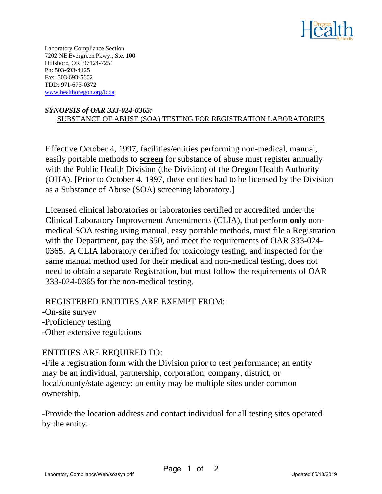

Laboratory Compliance Section 7202 NE Evergreen Pkwy., Ste. 100 Hillsboro, OR 97124-7251 Ph: 503-693-4125 Fax: 503-693-5602 TDD: 971-673-0372 www.healthoregon.org/lcqa

## *SYNOPSIS of OAR 333-024-0365:* SUBSTANCE OF ABUSE (SOA) TESTING FOR REGISTRATION LABORATORIES

Effective October 4, 1997, facilities/entities performing non-medical, manual, easily portable methods to **screen** for substance of abuse must register annually with the Public Health Division (the Division) of the Oregon Health Authority (OHA). [Prior to October 4, 1997, these entities had to be licensed by the Division as a Substance of Abuse (SOA) screening laboratory.]

Licensed clinical laboratories or laboratories certified or accredited under the Clinical Laboratory Improvement Amendments (CLIA), that perform **only** nonmedical SOA testing using manual, easy portable methods, must file a Registration with the Department, pay the \$50, and meet the requirements of OAR 333-024- 0365. A CLIA laboratory certified for toxicology testing, and inspected for the same manual method used for their medical and non-medical testing, does not need to obtain a separate Registration, but must follow the requirements of OAR 333-024-0365 for the non-medical testing.

## REGISTERED ENTITIES ARE EXEMPT FROM:

-On-site survey -Proficiency testing -Other extensive regulations

## ENTITIES ARE REQUIRED TO:

-File a registration form with the Division prior to test performance; an entity may be an individual, partnership, corporation, company, district, or local/county/state agency; an entity may be multiple sites under common ownership.

-Provide the location address and contact individual for all testing sites operated by the entity.